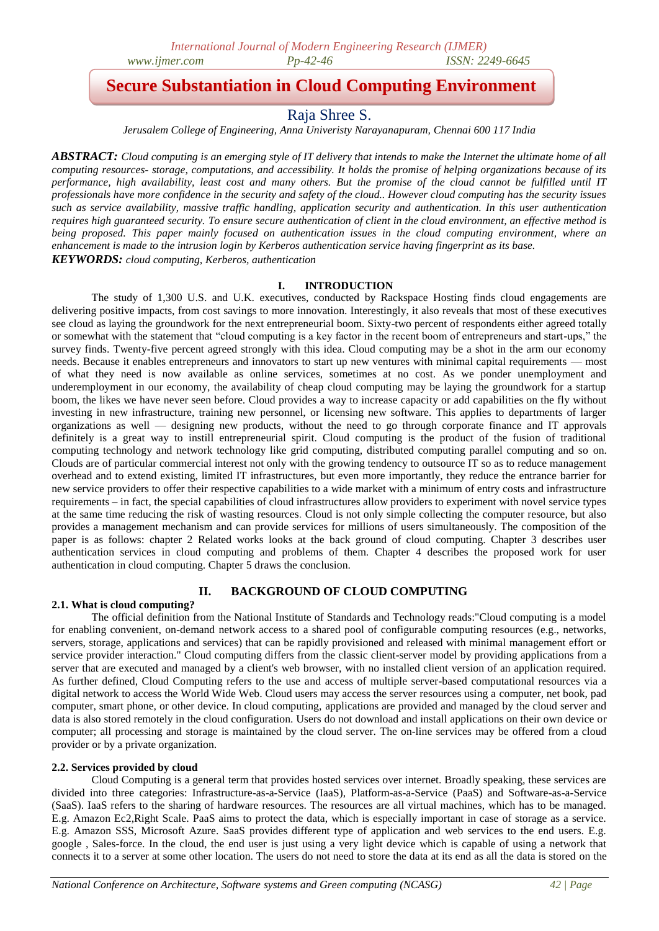# **Secure Substantiation in Cloud Computing Environment**

# Raja Shree S.

*Jerusalem College of Engineering, Anna Univeristy Narayanapuram, Chennai 600 117 India*

*ABSTRACT: Cloud computing is an emerging style of IT delivery that intends to make the Internet the ultimate home of all computing resources- storage, computations, and accessibility. It holds the promise of helping organizations because of its performance, high availability, least cost and many others. But the promise of the cloud cannot be fulfilled until IT professionals have more confidence in the security and safety of the cloud.. However cloud computing has the security issues such as service availability, massive traffic handling, application security and authentication. In this user authentication requires high guaranteed security. To ensure secure authentication of client in the cloud environment, an effective method is being proposed. This paper mainly focused on authentication issues in the cloud computing environment, where an enhancement is made to the intrusion login by Kerberos authentication service having fingerprint as its base. KEYWORDS: cloud computing, Kerberos, authentication*

## **I. INTRODUCTION**

The study of 1,300 U.S. and U.K. executives, conducted by Rackspace Hosting finds cloud engagements are delivering positive impacts, from cost savings to more innovation. Interestingly, it also reveals that most of these executives see cloud as laying the groundwork for the next entrepreneurial boom. Sixty-two percent of respondents either agreed totally or somewhat with the statement that "cloud computing is a key factor in the recent boom of entrepreneurs and start-ups," the survey finds. Twenty-five percent agreed strongly with this idea. Cloud computing may be a shot in the arm our economy needs. Because it enables entrepreneurs and innovators to start up new ventures with minimal capital requirements — most of what they need is now available as online services, sometimes at no cost. As we ponder unemployment and underemployment in our economy, the availability of cheap cloud computing may be laying the groundwork for a startup boom, the likes we have never seen before. Cloud provides a way to increase capacity or add capabilities on the fly without investing in new infrastructure, training new personnel, or licensing new software. This applies to departments of larger organizations as well — designing new products, without the need to go through corporate finance and IT approvals definitely is a great way to instill entrepreneurial spirit. Cloud computing is the product of the fusion of traditional computing technology and network technology like grid computing, distributed computing parallel computing and so on. Clouds are of particular commercial interest not only with the growing tendency to outsource IT so as to reduce management overhead and to extend existing, limited IT infrastructures, but even more importantly, they reduce the entrance barrier for new service providers to offer their respective capabilities to a wide market with a minimum of entry costs and infrastructure requirements – in fact, the special capabilities of cloud infrastructures allow providers to experiment with novel service types at the same time reducing the risk of wasting resources. Cloud is not only simple collecting the computer resource, but also provides a management mechanism and can provide services for millions of users simultaneously. The composition of the paper is as follows: chapter 2 Related works looks at the back ground of cloud computing. Chapter 3 describes user authentication services in cloud computing and problems of them. Chapter 4 describes the proposed work for user authentication in cloud computing. Chapter 5 draws the conclusion.

## **II. BACKGROUND OF CLOUD COMPUTING**

#### **2.1. What is cloud computing?**

The official definition from the National Institute of Standards and Technology reads:"Cloud computing is a model for enabling convenient, on-demand network access to a shared pool of configurable computing resources (e.g., networks, servers, storage, applications and services) that can be rapidly provisioned and released with minimal management effort or service provider interaction." Cloud computing differs from the classic client-server model by providing applications from a server that are executed and managed by a client's web browser, with no installed client version of an application required. As further defined, Cloud Computing refers to the use and access of multiple server-based computational resources via a digital network to access the World Wide Web. Cloud users may access the server resources using a computer, net book, pad computer, smart phone, or other device. In cloud computing, applications are provided and managed by the cloud server and data is also stored remotely in the cloud configuration. Users do not download and install applications on their own device or computer; all processing and storage is maintained by the cloud server. The on-line services may be offered from a cloud provider or by a private organization.

#### **2.2. Services provided by cloud**

Cloud Computing is a general term that provides hosted services over internet. Broadly speaking, these services are divided into three categories: Infrastructure-as-a-Service (IaaS), Platform-as-a-Service (PaaS) and Software-as-a-Service (SaaS). IaaS refers to the sharing of hardware resources. The resources are all virtual machines, which has to be managed. E.g. Amazon Ec2,Right Scale. PaaS aims to protect the data, which is especially important in case of storage as a service. E.g. Amazon SSS, Microsoft Azure. SaaS provides different type of application and web services to the end users. E.g. google , Sales-force. In the cloud, the end user is just using a very light device which is capable of using a network that connects it to a server at some other location. The users do not need to store the data at its end as all the data is stored on the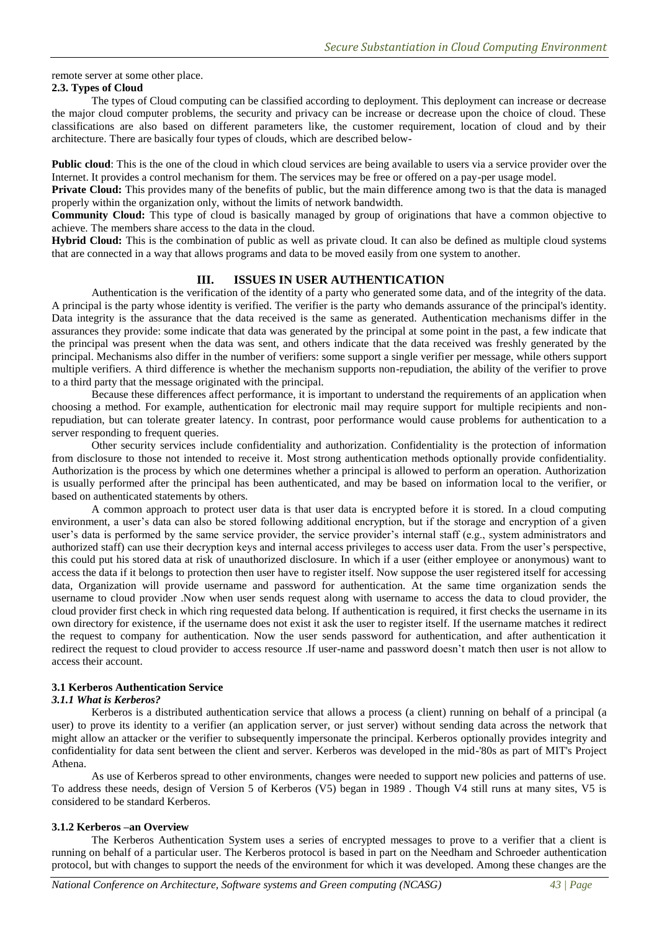remote server at some other place.

#### **2.3. Types of Cloud**

The types of Cloud computing can be classified according to deployment. This deployment can increase or decrease the major cloud computer problems, the security and privacy can be increase or decrease upon the choice of cloud. These classifications are also based on different parameters like, the customer requirement, location of cloud and by their architecture. There are basically four types of clouds, which are described below-

**Public cloud**: This is the one of the cloud in which cloud services are being available to users via a service provider over the Internet. It provides a control mechanism for them. The services may be free or offered on a pay-per usage model.

**Private Cloud:** This provides many of the benefits of public, but the main difference among two is that the data is managed properly within the organization only, without the limits of network bandwidth.

**Community Cloud:** This type of cloud is basically managed by group of originations that have a common objective to achieve. The members share access to the data in the cloud.

**Hybrid Cloud:** This is the combination of public as well as private cloud. It can also be defined as multiple cloud systems that are connected in a way that allows programs and data to be moved easily from one system to another.

## **III. ISSUES IN USER AUTHENTICATION**

Authentication is the verification of the identity of a party who generated some data, and of the integrity of the data. A principal is the party whose identity is verified. The verifier is the party who demands assurance of the principal's identity. Data integrity is the assurance that the data received is the same as generated. Authentication mechanisms differ in the assurances they provide: some indicate that data was generated by the principal at some point in the past, a few indicate that the principal was present when the data was sent, and others indicate that the data received was freshly generated by the principal. Mechanisms also differ in the number of verifiers: some support a single verifier per message, while others support multiple verifiers. A third difference is whether the mechanism supports non-repudiation, the ability of the verifier to prove to a third party that the message originated with the principal.

Because these differences affect performance, it is important to understand the requirements of an application when choosing a method. For example, authentication for electronic mail may require support for multiple recipients and nonrepudiation, but can tolerate greater latency. In contrast, poor performance would cause problems for authentication to a server responding to frequent queries.

Other security services include confidentiality and authorization. Confidentiality is the protection of information from disclosure to those not intended to receive it. Most strong authentication methods optionally provide confidentiality. Authorization is the process by which one determines whether a principal is allowed to perform an operation. Authorization is usually performed after the principal has been authenticated, and may be based on information local to the verifier, or based on authenticated statements by others.

A common approach to protect user data is that user data is encrypted before it is stored. In a cloud computing environment, a user's data can also be stored following additional encryption, but if the storage and encryption of a given user's data is performed by the same service provider, the service provider's internal staff (e.g., system administrators and authorized staff) can use their decryption keys and internal access privileges to access user data. From the user's perspective, this could put his stored data at risk of unauthorized disclosure. In which if a user (either employee or anonymous) want to access the data if it belongs to protection then user have to register itself. Now suppose the user registered itself for accessing data, Organization will provide username and password for authentication. At the same time organization sends the username to cloud provider .Now when user sends request along with username to access the data to cloud provider, the cloud provider first check in which ring requested data belong. If authentication is required, it first checks the username in its own directory for existence, if the username does not exist it ask the user to register itself. If the username matches it redirect the request to company for authentication. Now the user sends password for authentication, and after authentication it redirect the request to cloud provider to access resource .If user-name and password doesn't match then user is not allow to access their account.

#### **3.1 Kerberos Authentication Service**

#### *3.1.1 What is Kerberos?*

Kerberos is a distributed authentication service that allows a process (a client) running on behalf of a principal (a user) to prove its identity to a verifier (an application server, or just server) without sending data across the network that might allow an attacker or the verifier to subsequently impersonate the principal. Kerberos optionally provides integrity and confidentiality for data sent between the client and server. Kerberos was developed in the mid-'80s as part of MIT's Project Athena.

As use of Kerberos spread to other environments, changes were needed to support new policies and patterns of use. To address these needs, design of Version 5 of Kerberos (V5) began in 1989 . Though V4 still runs at many sites, V5 is considered to be standard Kerberos.

#### **3.1.2 Kerberos –an Overview**

The Kerberos Authentication System uses a series of encrypted messages to prove to a verifier that a client is running on behalf of a particular user. The Kerberos protocol is based in part on the Needham and Schroeder authentication protocol, but with changes to support the needs of the environment for which it was developed. Among these changes are the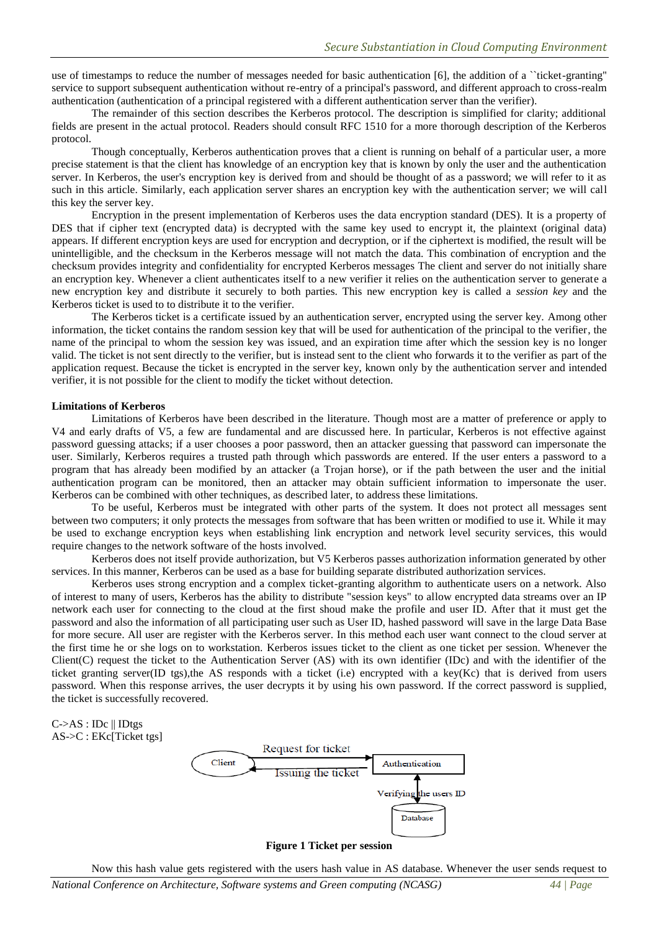use of timestamps to reduce the number of messages needed for basic authentication [6], the addition of a ``ticket-granting'' service to support subsequent authentication without re-entry of a principal's password, and different approach to cross-realm authentication (authentication of a principal registered with a different authentication server than the verifier).

The remainder of this section describes the Kerberos protocol. The description is simplified for clarity; additional fields are present in the actual protocol. Readers should consult RFC 1510 for a more thorough description of the Kerberos protocol.

Though conceptually, Kerberos authentication proves that a client is running on behalf of a particular user, a more precise statement is that the client has knowledge of an encryption key that is known by only the user and the authentication server. In Kerberos, the user's encryption key is derived from and should be thought of as a password; we will refer to it as such in this article. Similarly, each application server shares an encryption key with the authentication server; we will call this key the server key.

Encryption in the present implementation of Kerberos uses the data encryption standard (DES). It is a property of DES that if cipher text (encrypted data) is decrypted with the same key used to encrypt it, the plaintext (original data) appears. If different encryption keys are used for encryption and decryption, or if the ciphertext is modified, the result will be unintelligible, and the checksum in the Kerberos message will not match the data. This combination of encryption and the checksum provides integrity and confidentiality for encrypted Kerberos messages The client and server do not initially share an encryption key. Whenever a client authenticates itself to a new verifier it relies on the authentication server to generate a new encryption key and distribute it securely to both parties. This new encryption key is called a *session key* and the Kerberos ticket is used to to distribute it to the verifier.

The Kerberos ticket is a certificate issued by an authentication server, encrypted using the server key. Among other information, the ticket contains the random session key that will be used for authentication of the principal to the verifier, the name of the principal to whom the session key was issued, and an expiration time after which the session key is no longer valid. The ticket is not sent directly to the verifier, but is instead sent to the client who forwards it to the verifier as part of the application request. Because the ticket is encrypted in the server key, known only by the authentication server and intended verifier, it is not possible for the client to modify the ticket without detection.

#### **Limitations of Kerberos**

Limitations of Kerberos have been described in the literature. Though most are a matter of preference or apply to V4 and early drafts of V5, a few are fundamental and are discussed here. In particular, Kerberos is not effective against password guessing attacks; if a user chooses a poor password, then an attacker guessing that password can impersonate the user. Similarly, Kerberos requires a trusted path through which passwords are entered. If the user enters a password to a program that has already been modified by an attacker (a Trojan horse), or if the path between the user and the initial authentication program can be monitored, then an attacker may obtain sufficient information to impersonate the user. Kerberos can be combined with other techniques, as described later, to address these limitations.

To be useful, Kerberos must be integrated with other parts of the system. It does not protect all messages sent between two computers; it only protects the messages from software that has been written or modified to use it. While it may be used to exchange encryption keys when establishing link encryption and network level security services, this would require changes to the network software of the hosts involved.

Kerberos does not itself provide authorization, but V5 Kerberos passes authorization information generated by other services. In this manner, Kerberos can be used as a base for building separate distributed authorization services.

Kerberos uses strong encryption and a complex ticket-granting algorithm to authenticate users on a network. Also of interest to many of users, Kerberos has the ability to distribute "session keys" to allow encrypted data streams over an IP network each user for connecting to the cloud at the first shoud make the profile and user ID. After that it must get the password and also the information of all participating user such as User ID, hashed password will save in the large Data Base for more secure. All user are register with the Kerberos server. In this method each user want connect to the cloud server at the first time he or she logs on to workstation. Kerberos issues ticket to the client as one ticket per session. Whenever the Client(C) request the ticket to the Authentication Server (AS) with its own identifier (IDc) and with the identifier of the ticket granting server(ID tgs),the AS responds with a ticket (i.e) encrypted with a key(Kc) that is derived from users password. When this response arrives, the user decrypts it by using his own password. If the correct password is supplied, the ticket is successfully recovered.



**Figure 1 Ticket per session** 

Now this hash value gets registered with the users hash value in AS database. Whenever the user sends request to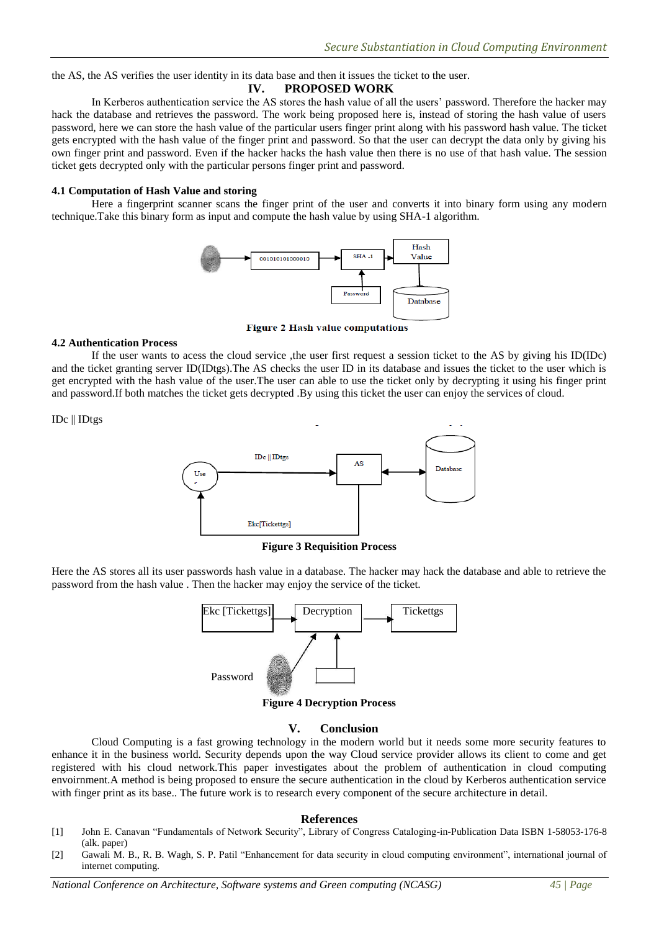the AS, the AS verifies the user identity in its data base and then it issues the ticket to the user.

## **IV. PROPOSED WORK**

In Kerberos authentication service the AS stores the hash value of all the users' password. Therefore the hacker may hack the database and retrieves the password. The work being proposed here is, instead of storing the hash value of users password, here we can store the hash value of the particular users finger print along with his password hash value. The ticket gets encrypted with the hash value of the finger print and password. So that the user can decrypt the data only by giving his own finger print and password. Even if the hacker hacks the hash value then there is no use of that hash value. The session ticket gets decrypted only with the particular persons finger print and password.

#### **4.1 Computation of Hash Value and storing**

Here a fingerprint scanner scans the finger print of the user and converts it into binary form using any modern technique.Take this binary form as input and compute the hash value by using SHA-1 algorithm.



**Figure 2 Hash value computations** 

#### **4.2 Authentication Process**

If the user wants to acess the cloud service ,the user first request a session ticket to the AS by giving his ID(IDc) and the ticket granting server ID(IDtgs).The AS checks the user ID in its database and issues the ticket to the user which is get encrypted with the hash value of the user.The user can able to use the ticket only by decrypting it using his finger print and password.If both matches the ticket gets decrypted .By using this ticket the user can enjoy the services of cloud.

IDc || IDtgs



**Figure 3 Requisition Process**

Here the AS stores all its user passwords hash value in a database. The hacker may hack the database and able to retrieve the password from the hash value . Then the hacker may enjoy the service of the ticket.



## **V. Conclusion**

Cloud Computing is a fast growing technology in the modern world but it needs some more security features to enhance it in the business world. Security depends upon the way Cloud service provider allows its client to come and get registered with his cloud network.This paper investigates about the problem of authentication in cloud computing envoirnment.A method is being proposed to ensure the secure authentication in the cloud by Kerberos authentication service with finger print as its base.. The future work is to research every component of the secure architecture in detail.

#### **References**

- [1] John E. Canavan "Fundamentals of Network Security", Library of Congress Cataloging-in-Publication Data ISBN 1-58053-176-8 (alk. paper)
- [2] Gawali M. B., R. B. Wagh, S. P. Patil "Enhancement for data security in cloud computing environment", international journal of internet computing.